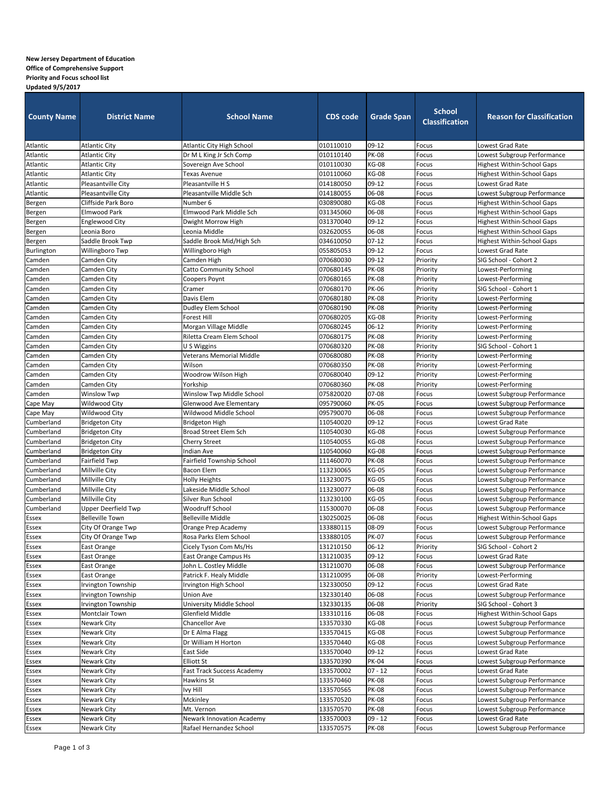## **New Jersey Department of Education**

## **Office of Comprehensive Support**

## **Priority and Focus school list**

| 09-12<br><b>Atlantic City High School</b><br>Lowest Grad Rate<br><b>Atlantic City</b><br>010110010<br>Focus<br><b>PK-08</b><br>010110140<br><b>Atlantic City</b><br>Dr M L King Jr Sch Comp<br>Lowest Subgroup Performance<br>Focus<br><b>KG-08</b><br><b>Highest Within-School Gaps</b><br><b>Atlantic City</b><br>Sovereign Ave School<br>010110030<br>Focus<br>Atlantic<br><b>KG-08</b><br><b>Highest Within-School Gaps</b><br><b>Atlantic City</b><br>010110060<br>Focus<br>Texas Avenue<br>Pleasantville City<br>09-12<br>Atlantic<br>Pleasantville H S<br>014180050<br>Focus<br>Lowest Grad Rate<br>Atlantic<br>Pleasantville City<br>Pleasantville Middle Sch<br>014180055<br>06-08<br>Lowest Subgroup Performance<br>Focus<br>Cliffside Park Boro<br><b>KG-08</b><br><b>Highest Within-School Gaps</b><br>Bergen<br>Number 6<br>030890080<br>Focus<br>Elmwood Park Middle Sch<br>06-08<br>Bergen<br>Elmwood Park<br>031345060<br><b>Highest Within-School Gaps</b><br>Focus<br>09-12<br>Bergen<br>Englewood City<br>031370040<br><b>Highest Within-School Gaps</b><br>Dwight Morrow High<br>Focus<br>Leonia Middle<br>06-08<br>Leonia Boro<br>032620055<br><b>Highest Within-School Gaps</b><br>Bergen<br>Focus<br>$07-12$<br>Saddle Brook Mid/High Sch<br>Bergen<br>Saddle Brook Twp<br>034610050<br>Focus<br><b>Highest Within-School Gaps</b><br>Burlington<br>09-12<br>Willingboro Twp<br>Willingboro High<br>055805053<br>Focus<br>Lowest Grad Rate<br>09-12<br>Camden<br>Camden High<br>070680030<br>Priority<br>SIG School - Cohort 2<br>Camden City<br><b>PK-08</b><br>070680145<br>Camden<br>Camden City<br>Catto Community School<br>Priority<br>Lowest-Performing<br><b>PK-08</b><br>Camden<br>070680165<br>Priority<br>Lowest-Performing<br>Camden City<br>Coopers Poynt<br><b>PK-06</b><br>Priority<br>Camden<br>Camden City<br>070680170<br>SIG School - Cohort 1<br>Cramer<br><b>PK-08</b><br>Camden<br>070680180<br>Priority<br>Camden City<br>Davis Elem<br>Lowest-Performing<br><b>PK-08</b><br>Camden<br>Camden City<br>Dudley Elem School<br>070680190<br>Priority<br>Lowest-Performing<br><b>Forest Hill</b><br>070680205<br><b>KG-08</b><br>Priority<br>Lowest-Performing<br>Camden City<br>06-12<br>Priority<br>Camden City<br>Morgan Village Middle<br>070680245<br>Lowest-Performing<br><b>PK-08</b><br>Riletta Cream Elem School<br>Priority<br>Camden City<br>070680175<br>Lowest-Performing<br><b>PK-08</b><br>SIG School - Cohort 1<br>Camden City<br>U S Wiggins<br>070680320<br>Priority<br><b>PK-08</b><br>Camden City<br>Veterans Memorial Middle<br>070680080<br>Priority<br>Lowest-Performing<br><b>PK-08</b><br>Wilson<br>070680350<br>Priority<br>Lowest-Performing<br>Camden City<br>$09-12$<br>Camden City<br>Woodrow Wilson High<br>070680040<br>Priority<br>Lowest-Performing<br><b>PK-08</b><br>Camden City<br>Yorkship<br>070680360<br>Priority<br>Lowest-Performing<br>07-08<br>Camden<br><b>Winslow Twp</b><br>Winslow Twp Middle School<br>075820020<br>Lowest Subgroup Performance<br>Focus<br>Wildwood City<br>095790060<br><b>PK-05</b><br>Cape May<br>Glenwood Ave Elementary<br>Lowest Subgroup Performance<br>Focus<br>Cape May<br>06-08<br>Wildwood City<br>Wildwood Middle School<br>095790070<br>Focus<br>Lowest Subgroup Performance<br>$09-12$<br>110540020<br>Lowest Grad Rate<br>Cumberland<br><b>Bridgeton City</b><br>Focus<br><b>Bridgeton High</b><br><b>Broad Street Elem Sch</b><br><b>KG-08</b><br>Cumberland<br><b>Bridgeton City</b><br>110540030<br>Focus<br>Lowest Subgroup Performance<br><b>KG-08</b><br>Cumberland<br><b>Bridgeton City</b><br>110540055<br>Focus<br><b>Cherry Street</b><br>Lowest Subgroup Performance<br><b>KG-08</b><br><b>Bridgeton City</b><br>Indian Ave<br>110540060<br>Lowest Subgroup Performance<br>Cumberland<br>Focus<br><b>PK-08</b><br>Fairfield Twp<br>Fairfield Township School<br>Cumberland<br>111460070<br>Focus<br>Lowest Subgroup Performance<br>Millville City<br><b>Bacon Elem</b><br><b>KG-05</b><br>Cumberland<br>113230065<br>Focus<br>Lowest Subgroup Performance<br>Millville City<br><b>KG-05</b><br><b>Holly Heights</b><br>113230075<br>Cumberland<br>Focus<br>Lowest Subgroup Performance<br>06-08<br>Millville City<br>Lakeside Middle School<br>Lowest Subgroup Performance<br>Cumberland<br>113230077<br>Focus<br>Millville City<br>Silver Run School<br><b>KG-05</b><br>Lowest Subgroup Performance<br>Cumberland<br>113230100<br>Focus<br><b>Upper Deerfield Twp</b><br>Woodruff School<br>06-08<br>Cumberland<br>115300070<br>Focus<br>Lowest Subgroup Performance<br><b>Belleville Town</b><br><b>Belleville Middle</b><br>130250025<br>06-08<br>Focus<br><b>Highest Within-School Gaps</b><br>Essex<br>08-09<br>Essex<br>City Of Orange Twp<br>Orange Prep Academy<br>Lowest Subgroup Performance<br>133880115<br>Focus<br>City Of Orange Twp<br>Rosa Parks Elem School<br><b>PK-07</b><br>Lowest Subgroup Performance<br><b>Essex</b><br>133880105<br>Focus<br>$06-12$<br>Priority<br>SIG School - Cohort 2<br>East Orange<br>Cicely Tyson Com Ms/Hs<br>131210150<br>09-12<br>Lowest Grad Rate<br>East Orange<br>East Orange Campus Hs<br>131210035<br>Focus<br>06-08<br>John L. Costley Middle<br>Lowest Subgroup Performance<br>East Orange<br>131210070<br>Focus<br>06-08<br>Priority<br>Lowest-Performing<br>East Orange<br>Patrick F. Healy Middle<br>131210095<br>09-12<br>Lowest Grad Rate<br>Irvington Township<br>Irvington High School<br>132330050<br>Focus<br>132330140<br>06-08<br>Focus<br>Lowest Subgroup Performance<br>Irvington Township<br><b>Union Ave</b><br>06-08<br>SIG School - Cohort 3<br>Irvington Township<br>University Middle School<br>Priority<br>132330135<br><b>Montclair Town</b><br>Glenfield Middle<br>06-08<br>133310116<br>Focus<br>Highest Within-School Gaps<br><b>Chancellor Ave</b><br><b>KG-08</b><br>Newark City<br>133570330<br>Focus<br>Lowest Subgroup Performance<br><b>KG-08</b><br>Essex<br>Newark City<br>Lowest Subgroup Performance<br>Dr E Alma Flagg<br>133570415<br>Focus<br><b>KG-08</b><br>Newark City<br>Dr William H Horton<br>133570440<br>Lowest Subgroup Performance<br>Focus<br>Newark City<br>09-12<br>Focus<br>Lowest Grad Rate<br>Essex<br>East Side<br>133570040<br><b>PK-04</b><br><b>Elliott St</b><br>Focus<br>Essex<br>Newark City<br>133570390<br>Lowest Subgroup Performance<br>$07 - 12$<br>Newark City<br>133570002<br>Focus<br>Lowest Grad Rate<br>Essex<br>Fast Track Success Academy<br><b>PK-08</b><br>Newark City<br>133570460<br>owest Subgroup Performance<br>Essex<br>Hawkins St<br>Focus<br>Newark City<br><b>PK-08</b><br>Lowest Subgroup Performance<br><b>Essex</b><br>Ivy Hill<br>133570565<br>Focus<br><b>PK-08</b><br>Essex<br>Newark City<br>Mckinley<br>133570520<br>Focus<br>Lowest Subgroup Performance<br>Essex<br>133570570<br><b>PK-08</b><br>Lowest Subgroup Performance<br>Newark City<br>Mt. Vernon<br>Focus<br>Lowest Grad Rate<br>Essex<br>Newark City<br>133570003<br>$09 - 12$<br><b>Newark Innovation Academy</b><br>Focus | <b>County Name</b> | <b>District Name</b> | <b>School Name</b>      | <b>CDS code</b> | <b>Grade Span</b> | <b>School</b><br><b>Classification</b> | <b>Reason for Classification</b> |
|-----------------------------------------------------------------------------------------------------------------------------------------------------------------------------------------------------------------------------------------------------------------------------------------------------------------------------------------------------------------------------------------------------------------------------------------------------------------------------------------------------------------------------------------------------------------------------------------------------------------------------------------------------------------------------------------------------------------------------------------------------------------------------------------------------------------------------------------------------------------------------------------------------------------------------------------------------------------------------------------------------------------------------------------------------------------------------------------------------------------------------------------------------------------------------------------------------------------------------------------------------------------------------------------------------------------------------------------------------------------------------------------------------------------------------------------------------------------------------------------------------------------------------------------------------------------------------------------------------------------------------------------------------------------------------------------------------------------------------------------------------------------------------------------------------------------------------------------------------------------------------------------------------------------------------------------------------------------------------------------------------------------------------------------------------------------------------------------------------------------------------------------------------------------------------------------------------------------------------------------------------------------------------------------------------------------------------------------------------------------------------------------------------------------------------------------------------------------------------------------------------------------------------------------------------------------------------------------------------------------------------------------------------------------------------------------------------------------------------------------------------------------------------------------------------------------------------------------------------------------------------------------------------------------------------------------------------------------------------------------------------------------------------------------------------------------------------------------------------------------------------------------------------------------------------------------------------------------------------------------------------------------------------------------------------------------------------------------------------------------------------------------------------------------------------------------------------------------------------------------------------------------------------------------------------------------------------------------------------------------------------------------------------------------------------------------------------------------------------------------------------------------------------------------------------------------------------------------------------------------------------------------------------------------------------------------------------------------------------------------------------------------------------------------------------------------------------------------------------------------------------------------------------------------------------------------------------------------------------------------------------------------------------------------------------------------------------------------------------------------------------------------------------------------------------------------------------------------------------------------------------------------------------------------------------------------------------------------------------------------------------------------------------------------------------------------------------------------------------------------------------------------------------------------------------------------------------------------------------------------------------------------------------------------------------------------------------------------------------------------------------------------------------------------------------------------------------------------------------------------------------------------------------------------------------------------------------------------------------------------------------------------------------------------------------------------------------------------------------------------------------------------------------------------------------------------------------------------------------------------------------------------------------------------------------------------------------------------------------------------------------------------------------------------------------------------------------------------------------------------------------------------------------------------------------------------------------------------------------------------------------------------------------------------------------------------------------------------------------------------------------------------------------------------------------------------------------------------------------------------------------------------------------------------------------------------------------------------------------------------------------------------------------------------------------------------------------------------------------------------------------------------------------------------------------------------------------------------------------------------------------------------------------------------------------------------------------------------------------------------------------------------------------------------------------------------------------------------------------------------------------------------------------------------------------------------------------------------------------------------------------------------------------------------------------------------------------------------------------------------------------------------------------------------------------------------------------------|--------------------|----------------------|-------------------------|-----------------|-------------------|----------------------------------------|----------------------------------|
|                                                                                                                                                                                                                                                                                                                                                                                                                                                                                                                                                                                                                                                                                                                                                                                                                                                                                                                                                                                                                                                                                                                                                                                                                                                                                                                                                                                                                                                                                                                                                                                                                                                                                                                                                                                                                                                                                                                                                                                                                                                                                                                                                                                                                                                                                                                                                                                                                                                                                                                                                                                                                                                                                                                                                                                                                                                                                                                                                                                                                                                                                                                                                                                                                                                                                                                                                                                                                                                                                                                                                                                                                                                                                                                                                                                                                                                                                                                                                                                                                                                                                                                                                                                                                                                                                                                                                                                                                                                                                                                                                                                                                                                                                                                                                                                                                                                                                                                                                                                                                                                                                                                                                                                                                                                                                                                                                                                                                                                                                                                                                                                                                                                                                                                                                                                                                                                                                                                                                                                                                                                                                                                                                                                                                                                                                                                                                                                                                                                                                                                                                                                                                                                                                                                                                                                                                                                                                                                                                                                                                                                                                   | Atlantic           |                      |                         |                 |                   |                                        |                                  |
|                                                                                                                                                                                                                                                                                                                                                                                                                                                                                                                                                                                                                                                                                                                                                                                                                                                                                                                                                                                                                                                                                                                                                                                                                                                                                                                                                                                                                                                                                                                                                                                                                                                                                                                                                                                                                                                                                                                                                                                                                                                                                                                                                                                                                                                                                                                                                                                                                                                                                                                                                                                                                                                                                                                                                                                                                                                                                                                                                                                                                                                                                                                                                                                                                                                                                                                                                                                                                                                                                                                                                                                                                                                                                                                                                                                                                                                                                                                                                                                                                                                                                                                                                                                                                                                                                                                                                                                                                                                                                                                                                                                                                                                                                                                                                                                                                                                                                                                                                                                                                                                                                                                                                                                                                                                                                                                                                                                                                                                                                                                                                                                                                                                                                                                                                                                                                                                                                                                                                                                                                                                                                                                                                                                                                                                                                                                                                                                                                                                                                                                                                                                                                                                                                                                                                                                                                                                                                                                                                                                                                                                                                   | Atlantic           |                      |                         |                 |                   |                                        |                                  |
|                                                                                                                                                                                                                                                                                                                                                                                                                                                                                                                                                                                                                                                                                                                                                                                                                                                                                                                                                                                                                                                                                                                                                                                                                                                                                                                                                                                                                                                                                                                                                                                                                                                                                                                                                                                                                                                                                                                                                                                                                                                                                                                                                                                                                                                                                                                                                                                                                                                                                                                                                                                                                                                                                                                                                                                                                                                                                                                                                                                                                                                                                                                                                                                                                                                                                                                                                                                                                                                                                                                                                                                                                                                                                                                                                                                                                                                                                                                                                                                                                                                                                                                                                                                                                                                                                                                                                                                                                                                                                                                                                                                                                                                                                                                                                                                                                                                                                                                                                                                                                                                                                                                                                                                                                                                                                                                                                                                                                                                                                                                                                                                                                                                                                                                                                                                                                                                                                                                                                                                                                                                                                                                                                                                                                                                                                                                                                                                                                                                                                                                                                                                                                                                                                                                                                                                                                                                                                                                                                                                                                                                                                   | Atlantic           |                      |                         |                 |                   |                                        |                                  |
|                                                                                                                                                                                                                                                                                                                                                                                                                                                                                                                                                                                                                                                                                                                                                                                                                                                                                                                                                                                                                                                                                                                                                                                                                                                                                                                                                                                                                                                                                                                                                                                                                                                                                                                                                                                                                                                                                                                                                                                                                                                                                                                                                                                                                                                                                                                                                                                                                                                                                                                                                                                                                                                                                                                                                                                                                                                                                                                                                                                                                                                                                                                                                                                                                                                                                                                                                                                                                                                                                                                                                                                                                                                                                                                                                                                                                                                                                                                                                                                                                                                                                                                                                                                                                                                                                                                                                                                                                                                                                                                                                                                                                                                                                                                                                                                                                                                                                                                                                                                                                                                                                                                                                                                                                                                                                                                                                                                                                                                                                                                                                                                                                                                                                                                                                                                                                                                                                                                                                                                                                                                                                                                                                                                                                                                                                                                                                                                                                                                                                                                                                                                                                                                                                                                                                                                                                                                                                                                                                                                                                                                                                   |                    |                      |                         |                 |                   |                                        |                                  |
|                                                                                                                                                                                                                                                                                                                                                                                                                                                                                                                                                                                                                                                                                                                                                                                                                                                                                                                                                                                                                                                                                                                                                                                                                                                                                                                                                                                                                                                                                                                                                                                                                                                                                                                                                                                                                                                                                                                                                                                                                                                                                                                                                                                                                                                                                                                                                                                                                                                                                                                                                                                                                                                                                                                                                                                                                                                                                                                                                                                                                                                                                                                                                                                                                                                                                                                                                                                                                                                                                                                                                                                                                                                                                                                                                                                                                                                                                                                                                                                                                                                                                                                                                                                                                                                                                                                                                                                                                                                                                                                                                                                                                                                                                                                                                                                                                                                                                                                                                                                                                                                                                                                                                                                                                                                                                                                                                                                                                                                                                                                                                                                                                                                                                                                                                                                                                                                                                                                                                                                                                                                                                                                                                                                                                                                                                                                                                                                                                                                                                                                                                                                                                                                                                                                                                                                                                                                                                                                                                                                                                                                                                   |                    |                      |                         |                 |                   |                                        |                                  |
|                                                                                                                                                                                                                                                                                                                                                                                                                                                                                                                                                                                                                                                                                                                                                                                                                                                                                                                                                                                                                                                                                                                                                                                                                                                                                                                                                                                                                                                                                                                                                                                                                                                                                                                                                                                                                                                                                                                                                                                                                                                                                                                                                                                                                                                                                                                                                                                                                                                                                                                                                                                                                                                                                                                                                                                                                                                                                                                                                                                                                                                                                                                                                                                                                                                                                                                                                                                                                                                                                                                                                                                                                                                                                                                                                                                                                                                                                                                                                                                                                                                                                                                                                                                                                                                                                                                                                                                                                                                                                                                                                                                                                                                                                                                                                                                                                                                                                                                                                                                                                                                                                                                                                                                                                                                                                                                                                                                                                                                                                                                                                                                                                                                                                                                                                                                                                                                                                                                                                                                                                                                                                                                                                                                                                                                                                                                                                                                                                                                                                                                                                                                                                                                                                                                                                                                                                                                                                                                                                                                                                                                                                   |                    |                      |                         |                 |                   |                                        |                                  |
|                                                                                                                                                                                                                                                                                                                                                                                                                                                                                                                                                                                                                                                                                                                                                                                                                                                                                                                                                                                                                                                                                                                                                                                                                                                                                                                                                                                                                                                                                                                                                                                                                                                                                                                                                                                                                                                                                                                                                                                                                                                                                                                                                                                                                                                                                                                                                                                                                                                                                                                                                                                                                                                                                                                                                                                                                                                                                                                                                                                                                                                                                                                                                                                                                                                                                                                                                                                                                                                                                                                                                                                                                                                                                                                                                                                                                                                                                                                                                                                                                                                                                                                                                                                                                                                                                                                                                                                                                                                                                                                                                                                                                                                                                                                                                                                                                                                                                                                                                                                                                                                                                                                                                                                                                                                                                                                                                                                                                                                                                                                                                                                                                                                                                                                                                                                                                                                                                                                                                                                                                                                                                                                                                                                                                                                                                                                                                                                                                                                                                                                                                                                                                                                                                                                                                                                                                                                                                                                                                                                                                                                                                   |                    |                      |                         |                 |                   |                                        |                                  |
|                                                                                                                                                                                                                                                                                                                                                                                                                                                                                                                                                                                                                                                                                                                                                                                                                                                                                                                                                                                                                                                                                                                                                                                                                                                                                                                                                                                                                                                                                                                                                                                                                                                                                                                                                                                                                                                                                                                                                                                                                                                                                                                                                                                                                                                                                                                                                                                                                                                                                                                                                                                                                                                                                                                                                                                                                                                                                                                                                                                                                                                                                                                                                                                                                                                                                                                                                                                                                                                                                                                                                                                                                                                                                                                                                                                                                                                                                                                                                                                                                                                                                                                                                                                                                                                                                                                                                                                                                                                                                                                                                                                                                                                                                                                                                                                                                                                                                                                                                                                                                                                                                                                                                                                                                                                                                                                                                                                                                                                                                                                                                                                                                                                                                                                                                                                                                                                                                                                                                                                                                                                                                                                                                                                                                                                                                                                                                                                                                                                                                                                                                                                                                                                                                                                                                                                                                                                                                                                                                                                                                                                                                   |                    |                      |                         |                 |                   |                                        |                                  |
|                                                                                                                                                                                                                                                                                                                                                                                                                                                                                                                                                                                                                                                                                                                                                                                                                                                                                                                                                                                                                                                                                                                                                                                                                                                                                                                                                                                                                                                                                                                                                                                                                                                                                                                                                                                                                                                                                                                                                                                                                                                                                                                                                                                                                                                                                                                                                                                                                                                                                                                                                                                                                                                                                                                                                                                                                                                                                                                                                                                                                                                                                                                                                                                                                                                                                                                                                                                                                                                                                                                                                                                                                                                                                                                                                                                                                                                                                                                                                                                                                                                                                                                                                                                                                                                                                                                                                                                                                                                                                                                                                                                                                                                                                                                                                                                                                                                                                                                                                                                                                                                                                                                                                                                                                                                                                                                                                                                                                                                                                                                                                                                                                                                                                                                                                                                                                                                                                                                                                                                                                                                                                                                                                                                                                                                                                                                                                                                                                                                                                                                                                                                                                                                                                                                                                                                                                                                                                                                                                                                                                                                                                   |                    |                      |                         |                 |                   |                                        |                                  |
|                                                                                                                                                                                                                                                                                                                                                                                                                                                                                                                                                                                                                                                                                                                                                                                                                                                                                                                                                                                                                                                                                                                                                                                                                                                                                                                                                                                                                                                                                                                                                                                                                                                                                                                                                                                                                                                                                                                                                                                                                                                                                                                                                                                                                                                                                                                                                                                                                                                                                                                                                                                                                                                                                                                                                                                                                                                                                                                                                                                                                                                                                                                                                                                                                                                                                                                                                                                                                                                                                                                                                                                                                                                                                                                                                                                                                                                                                                                                                                                                                                                                                                                                                                                                                                                                                                                                                                                                                                                                                                                                                                                                                                                                                                                                                                                                                                                                                                                                                                                                                                                                                                                                                                                                                                                                                                                                                                                                                                                                                                                                                                                                                                                                                                                                                                                                                                                                                                                                                                                                                                                                                                                                                                                                                                                                                                                                                                                                                                                                                                                                                                                                                                                                                                                                                                                                                                                                                                                                                                                                                                                                                   |                    |                      |                         |                 |                   |                                        |                                  |
|                                                                                                                                                                                                                                                                                                                                                                                                                                                                                                                                                                                                                                                                                                                                                                                                                                                                                                                                                                                                                                                                                                                                                                                                                                                                                                                                                                                                                                                                                                                                                                                                                                                                                                                                                                                                                                                                                                                                                                                                                                                                                                                                                                                                                                                                                                                                                                                                                                                                                                                                                                                                                                                                                                                                                                                                                                                                                                                                                                                                                                                                                                                                                                                                                                                                                                                                                                                                                                                                                                                                                                                                                                                                                                                                                                                                                                                                                                                                                                                                                                                                                                                                                                                                                                                                                                                                                                                                                                                                                                                                                                                                                                                                                                                                                                                                                                                                                                                                                                                                                                                                                                                                                                                                                                                                                                                                                                                                                                                                                                                                                                                                                                                                                                                                                                                                                                                                                                                                                                                                                                                                                                                                                                                                                                                                                                                                                                                                                                                                                                                                                                                                                                                                                                                                                                                                                                                                                                                                                                                                                                                                                   |                    |                      |                         |                 |                   |                                        |                                  |
|                                                                                                                                                                                                                                                                                                                                                                                                                                                                                                                                                                                                                                                                                                                                                                                                                                                                                                                                                                                                                                                                                                                                                                                                                                                                                                                                                                                                                                                                                                                                                                                                                                                                                                                                                                                                                                                                                                                                                                                                                                                                                                                                                                                                                                                                                                                                                                                                                                                                                                                                                                                                                                                                                                                                                                                                                                                                                                                                                                                                                                                                                                                                                                                                                                                                                                                                                                                                                                                                                                                                                                                                                                                                                                                                                                                                                                                                                                                                                                                                                                                                                                                                                                                                                                                                                                                                                                                                                                                                                                                                                                                                                                                                                                                                                                                                                                                                                                                                                                                                                                                                                                                                                                                                                                                                                                                                                                                                                                                                                                                                                                                                                                                                                                                                                                                                                                                                                                                                                                                                                                                                                                                                                                                                                                                                                                                                                                                                                                                                                                                                                                                                                                                                                                                                                                                                                                                                                                                                                                                                                                                                                   |                    |                      |                         |                 |                   |                                        |                                  |
|                                                                                                                                                                                                                                                                                                                                                                                                                                                                                                                                                                                                                                                                                                                                                                                                                                                                                                                                                                                                                                                                                                                                                                                                                                                                                                                                                                                                                                                                                                                                                                                                                                                                                                                                                                                                                                                                                                                                                                                                                                                                                                                                                                                                                                                                                                                                                                                                                                                                                                                                                                                                                                                                                                                                                                                                                                                                                                                                                                                                                                                                                                                                                                                                                                                                                                                                                                                                                                                                                                                                                                                                                                                                                                                                                                                                                                                                                                                                                                                                                                                                                                                                                                                                                                                                                                                                                                                                                                                                                                                                                                                                                                                                                                                                                                                                                                                                                                                                                                                                                                                                                                                                                                                                                                                                                                                                                                                                                                                                                                                                                                                                                                                                                                                                                                                                                                                                                                                                                                                                                                                                                                                                                                                                                                                                                                                                                                                                                                                                                                                                                                                                                                                                                                                                                                                                                                                                                                                                                                                                                                                                                   |                    |                      |                         |                 |                   |                                        |                                  |
|                                                                                                                                                                                                                                                                                                                                                                                                                                                                                                                                                                                                                                                                                                                                                                                                                                                                                                                                                                                                                                                                                                                                                                                                                                                                                                                                                                                                                                                                                                                                                                                                                                                                                                                                                                                                                                                                                                                                                                                                                                                                                                                                                                                                                                                                                                                                                                                                                                                                                                                                                                                                                                                                                                                                                                                                                                                                                                                                                                                                                                                                                                                                                                                                                                                                                                                                                                                                                                                                                                                                                                                                                                                                                                                                                                                                                                                                                                                                                                                                                                                                                                                                                                                                                                                                                                                                                                                                                                                                                                                                                                                                                                                                                                                                                                                                                                                                                                                                                                                                                                                                                                                                                                                                                                                                                                                                                                                                                                                                                                                                                                                                                                                                                                                                                                                                                                                                                                                                                                                                                                                                                                                                                                                                                                                                                                                                                                                                                                                                                                                                                                                                                                                                                                                                                                                                                                                                                                                                                                                                                                                                                   |                    |                      |                         |                 |                   |                                        |                                  |
|                                                                                                                                                                                                                                                                                                                                                                                                                                                                                                                                                                                                                                                                                                                                                                                                                                                                                                                                                                                                                                                                                                                                                                                                                                                                                                                                                                                                                                                                                                                                                                                                                                                                                                                                                                                                                                                                                                                                                                                                                                                                                                                                                                                                                                                                                                                                                                                                                                                                                                                                                                                                                                                                                                                                                                                                                                                                                                                                                                                                                                                                                                                                                                                                                                                                                                                                                                                                                                                                                                                                                                                                                                                                                                                                                                                                                                                                                                                                                                                                                                                                                                                                                                                                                                                                                                                                                                                                                                                                                                                                                                                                                                                                                                                                                                                                                                                                                                                                                                                                                                                                                                                                                                                                                                                                                                                                                                                                                                                                                                                                                                                                                                                                                                                                                                                                                                                                                                                                                                                                                                                                                                                                                                                                                                                                                                                                                                                                                                                                                                                                                                                                                                                                                                                                                                                                                                                                                                                                                                                                                                                                                   |                    |                      |                         |                 |                   |                                        |                                  |
|                                                                                                                                                                                                                                                                                                                                                                                                                                                                                                                                                                                                                                                                                                                                                                                                                                                                                                                                                                                                                                                                                                                                                                                                                                                                                                                                                                                                                                                                                                                                                                                                                                                                                                                                                                                                                                                                                                                                                                                                                                                                                                                                                                                                                                                                                                                                                                                                                                                                                                                                                                                                                                                                                                                                                                                                                                                                                                                                                                                                                                                                                                                                                                                                                                                                                                                                                                                                                                                                                                                                                                                                                                                                                                                                                                                                                                                                                                                                                                                                                                                                                                                                                                                                                                                                                                                                                                                                                                                                                                                                                                                                                                                                                                                                                                                                                                                                                                                                                                                                                                                                                                                                                                                                                                                                                                                                                                                                                                                                                                                                                                                                                                                                                                                                                                                                                                                                                                                                                                                                                                                                                                                                                                                                                                                                                                                                                                                                                                                                                                                                                                                                                                                                                                                                                                                                                                                                                                                                                                                                                                                                                   |                    |                      |                         |                 |                   |                                        |                                  |
|                                                                                                                                                                                                                                                                                                                                                                                                                                                                                                                                                                                                                                                                                                                                                                                                                                                                                                                                                                                                                                                                                                                                                                                                                                                                                                                                                                                                                                                                                                                                                                                                                                                                                                                                                                                                                                                                                                                                                                                                                                                                                                                                                                                                                                                                                                                                                                                                                                                                                                                                                                                                                                                                                                                                                                                                                                                                                                                                                                                                                                                                                                                                                                                                                                                                                                                                                                                                                                                                                                                                                                                                                                                                                                                                                                                                                                                                                                                                                                                                                                                                                                                                                                                                                                                                                                                                                                                                                                                                                                                                                                                                                                                                                                                                                                                                                                                                                                                                                                                                                                                                                                                                                                                                                                                                                                                                                                                                                                                                                                                                                                                                                                                                                                                                                                                                                                                                                                                                                                                                                                                                                                                                                                                                                                                                                                                                                                                                                                                                                                                                                                                                                                                                                                                                                                                                                                                                                                                                                                                                                                                                                   |                    |                      |                         |                 |                   |                                        |                                  |
|                                                                                                                                                                                                                                                                                                                                                                                                                                                                                                                                                                                                                                                                                                                                                                                                                                                                                                                                                                                                                                                                                                                                                                                                                                                                                                                                                                                                                                                                                                                                                                                                                                                                                                                                                                                                                                                                                                                                                                                                                                                                                                                                                                                                                                                                                                                                                                                                                                                                                                                                                                                                                                                                                                                                                                                                                                                                                                                                                                                                                                                                                                                                                                                                                                                                                                                                                                                                                                                                                                                                                                                                                                                                                                                                                                                                                                                                                                                                                                                                                                                                                                                                                                                                                                                                                                                                                                                                                                                                                                                                                                                                                                                                                                                                                                                                                                                                                                                                                                                                                                                                                                                                                                                                                                                                                                                                                                                                                                                                                                                                                                                                                                                                                                                                                                                                                                                                                                                                                                                                                                                                                                                                                                                                                                                                                                                                                                                                                                                                                                                                                                                                                                                                                                                                                                                                                                                                                                                                                                                                                                                                                   | Camden             |                      |                         |                 |                   |                                        |                                  |
|                                                                                                                                                                                                                                                                                                                                                                                                                                                                                                                                                                                                                                                                                                                                                                                                                                                                                                                                                                                                                                                                                                                                                                                                                                                                                                                                                                                                                                                                                                                                                                                                                                                                                                                                                                                                                                                                                                                                                                                                                                                                                                                                                                                                                                                                                                                                                                                                                                                                                                                                                                                                                                                                                                                                                                                                                                                                                                                                                                                                                                                                                                                                                                                                                                                                                                                                                                                                                                                                                                                                                                                                                                                                                                                                                                                                                                                                                                                                                                                                                                                                                                                                                                                                                                                                                                                                                                                                                                                                                                                                                                                                                                                                                                                                                                                                                                                                                                                                                                                                                                                                                                                                                                                                                                                                                                                                                                                                                                                                                                                                                                                                                                                                                                                                                                                                                                                                                                                                                                                                                                                                                                                                                                                                                                                                                                                                                                                                                                                                                                                                                                                                                                                                                                                                                                                                                                                                                                                                                                                                                                                                                   | Camden             |                      |                         |                 |                   |                                        |                                  |
|                                                                                                                                                                                                                                                                                                                                                                                                                                                                                                                                                                                                                                                                                                                                                                                                                                                                                                                                                                                                                                                                                                                                                                                                                                                                                                                                                                                                                                                                                                                                                                                                                                                                                                                                                                                                                                                                                                                                                                                                                                                                                                                                                                                                                                                                                                                                                                                                                                                                                                                                                                                                                                                                                                                                                                                                                                                                                                                                                                                                                                                                                                                                                                                                                                                                                                                                                                                                                                                                                                                                                                                                                                                                                                                                                                                                                                                                                                                                                                                                                                                                                                                                                                                                                                                                                                                                                                                                                                                                                                                                                                                                                                                                                                                                                                                                                                                                                                                                                                                                                                                                                                                                                                                                                                                                                                                                                                                                                                                                                                                                                                                                                                                                                                                                                                                                                                                                                                                                                                                                                                                                                                                                                                                                                                                                                                                                                                                                                                                                                                                                                                                                                                                                                                                                                                                                                                                                                                                                                                                                                                                                                   | Camden             |                      |                         |                 |                   |                                        |                                  |
|                                                                                                                                                                                                                                                                                                                                                                                                                                                                                                                                                                                                                                                                                                                                                                                                                                                                                                                                                                                                                                                                                                                                                                                                                                                                                                                                                                                                                                                                                                                                                                                                                                                                                                                                                                                                                                                                                                                                                                                                                                                                                                                                                                                                                                                                                                                                                                                                                                                                                                                                                                                                                                                                                                                                                                                                                                                                                                                                                                                                                                                                                                                                                                                                                                                                                                                                                                                                                                                                                                                                                                                                                                                                                                                                                                                                                                                                                                                                                                                                                                                                                                                                                                                                                                                                                                                                                                                                                                                                                                                                                                                                                                                                                                                                                                                                                                                                                                                                                                                                                                                                                                                                                                                                                                                                                                                                                                                                                                                                                                                                                                                                                                                                                                                                                                                                                                                                                                                                                                                                                                                                                                                                                                                                                                                                                                                                                                                                                                                                                                                                                                                                                                                                                                                                                                                                                                                                                                                                                                                                                                                                                   | Camden             |                      |                         |                 |                   |                                        |                                  |
|                                                                                                                                                                                                                                                                                                                                                                                                                                                                                                                                                                                                                                                                                                                                                                                                                                                                                                                                                                                                                                                                                                                                                                                                                                                                                                                                                                                                                                                                                                                                                                                                                                                                                                                                                                                                                                                                                                                                                                                                                                                                                                                                                                                                                                                                                                                                                                                                                                                                                                                                                                                                                                                                                                                                                                                                                                                                                                                                                                                                                                                                                                                                                                                                                                                                                                                                                                                                                                                                                                                                                                                                                                                                                                                                                                                                                                                                                                                                                                                                                                                                                                                                                                                                                                                                                                                                                                                                                                                                                                                                                                                                                                                                                                                                                                                                                                                                                                                                                                                                                                                                                                                                                                                                                                                                                                                                                                                                                                                                                                                                                                                                                                                                                                                                                                                                                                                                                                                                                                                                                                                                                                                                                                                                                                                                                                                                                                                                                                                                                                                                                                                                                                                                                                                                                                                                                                                                                                                                                                                                                                                                                   | Camden             |                      |                         |                 |                   |                                        |                                  |
|                                                                                                                                                                                                                                                                                                                                                                                                                                                                                                                                                                                                                                                                                                                                                                                                                                                                                                                                                                                                                                                                                                                                                                                                                                                                                                                                                                                                                                                                                                                                                                                                                                                                                                                                                                                                                                                                                                                                                                                                                                                                                                                                                                                                                                                                                                                                                                                                                                                                                                                                                                                                                                                                                                                                                                                                                                                                                                                                                                                                                                                                                                                                                                                                                                                                                                                                                                                                                                                                                                                                                                                                                                                                                                                                                                                                                                                                                                                                                                                                                                                                                                                                                                                                                                                                                                                                                                                                                                                                                                                                                                                                                                                                                                                                                                                                                                                                                                                                                                                                                                                                                                                                                                                                                                                                                                                                                                                                                                                                                                                                                                                                                                                                                                                                                                                                                                                                                                                                                                                                                                                                                                                                                                                                                                                                                                                                                                                                                                                                                                                                                                                                                                                                                                                                                                                                                                                                                                                                                                                                                                                                                   | Camden             |                      |                         |                 |                   |                                        |                                  |
|                                                                                                                                                                                                                                                                                                                                                                                                                                                                                                                                                                                                                                                                                                                                                                                                                                                                                                                                                                                                                                                                                                                                                                                                                                                                                                                                                                                                                                                                                                                                                                                                                                                                                                                                                                                                                                                                                                                                                                                                                                                                                                                                                                                                                                                                                                                                                                                                                                                                                                                                                                                                                                                                                                                                                                                                                                                                                                                                                                                                                                                                                                                                                                                                                                                                                                                                                                                                                                                                                                                                                                                                                                                                                                                                                                                                                                                                                                                                                                                                                                                                                                                                                                                                                                                                                                                                                                                                                                                                                                                                                                                                                                                                                                                                                                                                                                                                                                                                                                                                                                                                                                                                                                                                                                                                                                                                                                                                                                                                                                                                                                                                                                                                                                                                                                                                                                                                                                                                                                                                                                                                                                                                                                                                                                                                                                                                                                                                                                                                                                                                                                                                                                                                                                                                                                                                                                                                                                                                                                                                                                                                                   | Camden             |                      |                         |                 |                   |                                        |                                  |
|                                                                                                                                                                                                                                                                                                                                                                                                                                                                                                                                                                                                                                                                                                                                                                                                                                                                                                                                                                                                                                                                                                                                                                                                                                                                                                                                                                                                                                                                                                                                                                                                                                                                                                                                                                                                                                                                                                                                                                                                                                                                                                                                                                                                                                                                                                                                                                                                                                                                                                                                                                                                                                                                                                                                                                                                                                                                                                                                                                                                                                                                                                                                                                                                                                                                                                                                                                                                                                                                                                                                                                                                                                                                                                                                                                                                                                                                                                                                                                                                                                                                                                                                                                                                                                                                                                                                                                                                                                                                                                                                                                                                                                                                                                                                                                                                                                                                                                                                                                                                                                                                                                                                                                                                                                                                                                                                                                                                                                                                                                                                                                                                                                                                                                                                                                                                                                                                                                                                                                                                                                                                                                                                                                                                                                                                                                                                                                                                                                                                                                                                                                                                                                                                                                                                                                                                                                                                                                                                                                                                                                                                                   | Camden             |                      |                         |                 |                   |                                        |                                  |
|                                                                                                                                                                                                                                                                                                                                                                                                                                                                                                                                                                                                                                                                                                                                                                                                                                                                                                                                                                                                                                                                                                                                                                                                                                                                                                                                                                                                                                                                                                                                                                                                                                                                                                                                                                                                                                                                                                                                                                                                                                                                                                                                                                                                                                                                                                                                                                                                                                                                                                                                                                                                                                                                                                                                                                                                                                                                                                                                                                                                                                                                                                                                                                                                                                                                                                                                                                                                                                                                                                                                                                                                                                                                                                                                                                                                                                                                                                                                                                                                                                                                                                                                                                                                                                                                                                                                                                                                                                                                                                                                                                                                                                                                                                                                                                                                                                                                                                                                                                                                                                                                                                                                                                                                                                                                                                                                                                                                                                                                                                                                                                                                                                                                                                                                                                                                                                                                                                                                                                                                                                                                                                                                                                                                                                                                                                                                                                                                                                                                                                                                                                                                                                                                                                                                                                                                                                                                                                                                                                                                                                                                                   |                    |                      |                         |                 |                   |                                        |                                  |
|                                                                                                                                                                                                                                                                                                                                                                                                                                                                                                                                                                                                                                                                                                                                                                                                                                                                                                                                                                                                                                                                                                                                                                                                                                                                                                                                                                                                                                                                                                                                                                                                                                                                                                                                                                                                                                                                                                                                                                                                                                                                                                                                                                                                                                                                                                                                                                                                                                                                                                                                                                                                                                                                                                                                                                                                                                                                                                                                                                                                                                                                                                                                                                                                                                                                                                                                                                                                                                                                                                                                                                                                                                                                                                                                                                                                                                                                                                                                                                                                                                                                                                                                                                                                                                                                                                                                                                                                                                                                                                                                                                                                                                                                                                                                                                                                                                                                                                                                                                                                                                                                                                                                                                                                                                                                                                                                                                                                                                                                                                                                                                                                                                                                                                                                                                                                                                                                                                                                                                                                                                                                                                                                                                                                                                                                                                                                                                                                                                                                                                                                                                                                                                                                                                                                                                                                                                                                                                                                                                                                                                                                                   |                    |                      |                         |                 |                   |                                        |                                  |
|                                                                                                                                                                                                                                                                                                                                                                                                                                                                                                                                                                                                                                                                                                                                                                                                                                                                                                                                                                                                                                                                                                                                                                                                                                                                                                                                                                                                                                                                                                                                                                                                                                                                                                                                                                                                                                                                                                                                                                                                                                                                                                                                                                                                                                                                                                                                                                                                                                                                                                                                                                                                                                                                                                                                                                                                                                                                                                                                                                                                                                                                                                                                                                                                                                                                                                                                                                                                                                                                                                                                                                                                                                                                                                                                                                                                                                                                                                                                                                                                                                                                                                                                                                                                                                                                                                                                                                                                                                                                                                                                                                                                                                                                                                                                                                                                                                                                                                                                                                                                                                                                                                                                                                                                                                                                                                                                                                                                                                                                                                                                                                                                                                                                                                                                                                                                                                                                                                                                                                                                                                                                                                                                                                                                                                                                                                                                                                                                                                                                                                                                                                                                                                                                                                                                                                                                                                                                                                                                                                                                                                                                                   |                    |                      |                         |                 |                   |                                        |                                  |
|                                                                                                                                                                                                                                                                                                                                                                                                                                                                                                                                                                                                                                                                                                                                                                                                                                                                                                                                                                                                                                                                                                                                                                                                                                                                                                                                                                                                                                                                                                                                                                                                                                                                                                                                                                                                                                                                                                                                                                                                                                                                                                                                                                                                                                                                                                                                                                                                                                                                                                                                                                                                                                                                                                                                                                                                                                                                                                                                                                                                                                                                                                                                                                                                                                                                                                                                                                                                                                                                                                                                                                                                                                                                                                                                                                                                                                                                                                                                                                                                                                                                                                                                                                                                                                                                                                                                                                                                                                                                                                                                                                                                                                                                                                                                                                                                                                                                                                                                                                                                                                                                                                                                                                                                                                                                                                                                                                                                                                                                                                                                                                                                                                                                                                                                                                                                                                                                                                                                                                                                                                                                                                                                                                                                                                                                                                                                                                                                                                                                                                                                                                                                                                                                                                                                                                                                                                                                                                                                                                                                                                                                                   |                    |                      |                         |                 |                   |                                        |                                  |
|                                                                                                                                                                                                                                                                                                                                                                                                                                                                                                                                                                                                                                                                                                                                                                                                                                                                                                                                                                                                                                                                                                                                                                                                                                                                                                                                                                                                                                                                                                                                                                                                                                                                                                                                                                                                                                                                                                                                                                                                                                                                                                                                                                                                                                                                                                                                                                                                                                                                                                                                                                                                                                                                                                                                                                                                                                                                                                                                                                                                                                                                                                                                                                                                                                                                                                                                                                                                                                                                                                                                                                                                                                                                                                                                                                                                                                                                                                                                                                                                                                                                                                                                                                                                                                                                                                                                                                                                                                                                                                                                                                                                                                                                                                                                                                                                                                                                                                                                                                                                                                                                                                                                                                                                                                                                                                                                                                                                                                                                                                                                                                                                                                                                                                                                                                                                                                                                                                                                                                                                                                                                                                                                                                                                                                                                                                                                                                                                                                                                                                                                                                                                                                                                                                                                                                                                                                                                                                                                                                                                                                                                                   |                    |                      |                         |                 |                   |                                        |                                  |
|                                                                                                                                                                                                                                                                                                                                                                                                                                                                                                                                                                                                                                                                                                                                                                                                                                                                                                                                                                                                                                                                                                                                                                                                                                                                                                                                                                                                                                                                                                                                                                                                                                                                                                                                                                                                                                                                                                                                                                                                                                                                                                                                                                                                                                                                                                                                                                                                                                                                                                                                                                                                                                                                                                                                                                                                                                                                                                                                                                                                                                                                                                                                                                                                                                                                                                                                                                                                                                                                                                                                                                                                                                                                                                                                                                                                                                                                                                                                                                                                                                                                                                                                                                                                                                                                                                                                                                                                                                                                                                                                                                                                                                                                                                                                                                                                                                                                                                                                                                                                                                                                                                                                                                                                                                                                                                                                                                                                                                                                                                                                                                                                                                                                                                                                                                                                                                                                                                                                                                                                                                                                                                                                                                                                                                                                                                                                                                                                                                                                                                                                                                                                                                                                                                                                                                                                                                                                                                                                                                                                                                                                                   |                    |                      |                         |                 |                   |                                        |                                  |
|                                                                                                                                                                                                                                                                                                                                                                                                                                                                                                                                                                                                                                                                                                                                                                                                                                                                                                                                                                                                                                                                                                                                                                                                                                                                                                                                                                                                                                                                                                                                                                                                                                                                                                                                                                                                                                                                                                                                                                                                                                                                                                                                                                                                                                                                                                                                                                                                                                                                                                                                                                                                                                                                                                                                                                                                                                                                                                                                                                                                                                                                                                                                                                                                                                                                                                                                                                                                                                                                                                                                                                                                                                                                                                                                                                                                                                                                                                                                                                                                                                                                                                                                                                                                                                                                                                                                                                                                                                                                                                                                                                                                                                                                                                                                                                                                                                                                                                                                                                                                                                                                                                                                                                                                                                                                                                                                                                                                                                                                                                                                                                                                                                                                                                                                                                                                                                                                                                                                                                                                                                                                                                                                                                                                                                                                                                                                                                                                                                                                                                                                                                                                                                                                                                                                                                                                                                                                                                                                                                                                                                                                                   |                    |                      |                         |                 |                   |                                        |                                  |
|                                                                                                                                                                                                                                                                                                                                                                                                                                                                                                                                                                                                                                                                                                                                                                                                                                                                                                                                                                                                                                                                                                                                                                                                                                                                                                                                                                                                                                                                                                                                                                                                                                                                                                                                                                                                                                                                                                                                                                                                                                                                                                                                                                                                                                                                                                                                                                                                                                                                                                                                                                                                                                                                                                                                                                                                                                                                                                                                                                                                                                                                                                                                                                                                                                                                                                                                                                                                                                                                                                                                                                                                                                                                                                                                                                                                                                                                                                                                                                                                                                                                                                                                                                                                                                                                                                                                                                                                                                                                                                                                                                                                                                                                                                                                                                                                                                                                                                                                                                                                                                                                                                                                                                                                                                                                                                                                                                                                                                                                                                                                                                                                                                                                                                                                                                                                                                                                                                                                                                                                                                                                                                                                                                                                                                                                                                                                                                                                                                                                                                                                                                                                                                                                                                                                                                                                                                                                                                                                                                                                                                                                                   |                    |                      |                         |                 |                   |                                        |                                  |
|                                                                                                                                                                                                                                                                                                                                                                                                                                                                                                                                                                                                                                                                                                                                                                                                                                                                                                                                                                                                                                                                                                                                                                                                                                                                                                                                                                                                                                                                                                                                                                                                                                                                                                                                                                                                                                                                                                                                                                                                                                                                                                                                                                                                                                                                                                                                                                                                                                                                                                                                                                                                                                                                                                                                                                                                                                                                                                                                                                                                                                                                                                                                                                                                                                                                                                                                                                                                                                                                                                                                                                                                                                                                                                                                                                                                                                                                                                                                                                                                                                                                                                                                                                                                                                                                                                                                                                                                                                                                                                                                                                                                                                                                                                                                                                                                                                                                                                                                                                                                                                                                                                                                                                                                                                                                                                                                                                                                                                                                                                                                                                                                                                                                                                                                                                                                                                                                                                                                                                                                                                                                                                                                                                                                                                                                                                                                                                                                                                                                                                                                                                                                                                                                                                                                                                                                                                                                                                                                                                                                                                                                                   |                    |                      |                         |                 |                   |                                        |                                  |
|                                                                                                                                                                                                                                                                                                                                                                                                                                                                                                                                                                                                                                                                                                                                                                                                                                                                                                                                                                                                                                                                                                                                                                                                                                                                                                                                                                                                                                                                                                                                                                                                                                                                                                                                                                                                                                                                                                                                                                                                                                                                                                                                                                                                                                                                                                                                                                                                                                                                                                                                                                                                                                                                                                                                                                                                                                                                                                                                                                                                                                                                                                                                                                                                                                                                                                                                                                                                                                                                                                                                                                                                                                                                                                                                                                                                                                                                                                                                                                                                                                                                                                                                                                                                                                                                                                                                                                                                                                                                                                                                                                                                                                                                                                                                                                                                                                                                                                                                                                                                                                                                                                                                                                                                                                                                                                                                                                                                                                                                                                                                                                                                                                                                                                                                                                                                                                                                                                                                                                                                                                                                                                                                                                                                                                                                                                                                                                                                                                                                                                                                                                                                                                                                                                                                                                                                                                                                                                                                                                                                                                                                                   |                    |                      |                         |                 |                   |                                        |                                  |
|                                                                                                                                                                                                                                                                                                                                                                                                                                                                                                                                                                                                                                                                                                                                                                                                                                                                                                                                                                                                                                                                                                                                                                                                                                                                                                                                                                                                                                                                                                                                                                                                                                                                                                                                                                                                                                                                                                                                                                                                                                                                                                                                                                                                                                                                                                                                                                                                                                                                                                                                                                                                                                                                                                                                                                                                                                                                                                                                                                                                                                                                                                                                                                                                                                                                                                                                                                                                                                                                                                                                                                                                                                                                                                                                                                                                                                                                                                                                                                                                                                                                                                                                                                                                                                                                                                                                                                                                                                                                                                                                                                                                                                                                                                                                                                                                                                                                                                                                                                                                                                                                                                                                                                                                                                                                                                                                                                                                                                                                                                                                                                                                                                                                                                                                                                                                                                                                                                                                                                                                                                                                                                                                                                                                                                                                                                                                                                                                                                                                                                                                                                                                                                                                                                                                                                                                                                                                                                                                                                                                                                                                                   |                    |                      |                         |                 |                   |                                        |                                  |
|                                                                                                                                                                                                                                                                                                                                                                                                                                                                                                                                                                                                                                                                                                                                                                                                                                                                                                                                                                                                                                                                                                                                                                                                                                                                                                                                                                                                                                                                                                                                                                                                                                                                                                                                                                                                                                                                                                                                                                                                                                                                                                                                                                                                                                                                                                                                                                                                                                                                                                                                                                                                                                                                                                                                                                                                                                                                                                                                                                                                                                                                                                                                                                                                                                                                                                                                                                                                                                                                                                                                                                                                                                                                                                                                                                                                                                                                                                                                                                                                                                                                                                                                                                                                                                                                                                                                                                                                                                                                                                                                                                                                                                                                                                                                                                                                                                                                                                                                                                                                                                                                                                                                                                                                                                                                                                                                                                                                                                                                                                                                                                                                                                                                                                                                                                                                                                                                                                                                                                                                                                                                                                                                                                                                                                                                                                                                                                                                                                                                                                                                                                                                                                                                                                                                                                                                                                                                                                                                                                                                                                                                                   |                    |                      |                         |                 |                   |                                        |                                  |
|                                                                                                                                                                                                                                                                                                                                                                                                                                                                                                                                                                                                                                                                                                                                                                                                                                                                                                                                                                                                                                                                                                                                                                                                                                                                                                                                                                                                                                                                                                                                                                                                                                                                                                                                                                                                                                                                                                                                                                                                                                                                                                                                                                                                                                                                                                                                                                                                                                                                                                                                                                                                                                                                                                                                                                                                                                                                                                                                                                                                                                                                                                                                                                                                                                                                                                                                                                                                                                                                                                                                                                                                                                                                                                                                                                                                                                                                                                                                                                                                                                                                                                                                                                                                                                                                                                                                                                                                                                                                                                                                                                                                                                                                                                                                                                                                                                                                                                                                                                                                                                                                                                                                                                                                                                                                                                                                                                                                                                                                                                                                                                                                                                                                                                                                                                                                                                                                                                                                                                                                                                                                                                                                                                                                                                                                                                                                                                                                                                                                                                                                                                                                                                                                                                                                                                                                                                                                                                                                                                                                                                                                                   |                    |                      |                         |                 |                   |                                        |                                  |
|                                                                                                                                                                                                                                                                                                                                                                                                                                                                                                                                                                                                                                                                                                                                                                                                                                                                                                                                                                                                                                                                                                                                                                                                                                                                                                                                                                                                                                                                                                                                                                                                                                                                                                                                                                                                                                                                                                                                                                                                                                                                                                                                                                                                                                                                                                                                                                                                                                                                                                                                                                                                                                                                                                                                                                                                                                                                                                                                                                                                                                                                                                                                                                                                                                                                                                                                                                                                                                                                                                                                                                                                                                                                                                                                                                                                                                                                                                                                                                                                                                                                                                                                                                                                                                                                                                                                                                                                                                                                                                                                                                                                                                                                                                                                                                                                                                                                                                                                                                                                                                                                                                                                                                                                                                                                                                                                                                                                                                                                                                                                                                                                                                                                                                                                                                                                                                                                                                                                                                                                                                                                                                                                                                                                                                                                                                                                                                                                                                                                                                                                                                                                                                                                                                                                                                                                                                                                                                                                                                                                                                                                                   |                    |                      |                         |                 |                   |                                        |                                  |
|                                                                                                                                                                                                                                                                                                                                                                                                                                                                                                                                                                                                                                                                                                                                                                                                                                                                                                                                                                                                                                                                                                                                                                                                                                                                                                                                                                                                                                                                                                                                                                                                                                                                                                                                                                                                                                                                                                                                                                                                                                                                                                                                                                                                                                                                                                                                                                                                                                                                                                                                                                                                                                                                                                                                                                                                                                                                                                                                                                                                                                                                                                                                                                                                                                                                                                                                                                                                                                                                                                                                                                                                                                                                                                                                                                                                                                                                                                                                                                                                                                                                                                                                                                                                                                                                                                                                                                                                                                                                                                                                                                                                                                                                                                                                                                                                                                                                                                                                                                                                                                                                                                                                                                                                                                                                                                                                                                                                                                                                                                                                                                                                                                                                                                                                                                                                                                                                                                                                                                                                                                                                                                                                                                                                                                                                                                                                                                                                                                                                                                                                                                                                                                                                                                                                                                                                                                                                                                                                                                                                                                                                                   |                    |                      |                         |                 |                   |                                        |                                  |
|                                                                                                                                                                                                                                                                                                                                                                                                                                                                                                                                                                                                                                                                                                                                                                                                                                                                                                                                                                                                                                                                                                                                                                                                                                                                                                                                                                                                                                                                                                                                                                                                                                                                                                                                                                                                                                                                                                                                                                                                                                                                                                                                                                                                                                                                                                                                                                                                                                                                                                                                                                                                                                                                                                                                                                                                                                                                                                                                                                                                                                                                                                                                                                                                                                                                                                                                                                                                                                                                                                                                                                                                                                                                                                                                                                                                                                                                                                                                                                                                                                                                                                                                                                                                                                                                                                                                                                                                                                                                                                                                                                                                                                                                                                                                                                                                                                                                                                                                                                                                                                                                                                                                                                                                                                                                                                                                                                                                                                                                                                                                                                                                                                                                                                                                                                                                                                                                                                                                                                                                                                                                                                                                                                                                                                                                                                                                                                                                                                                                                                                                                                                                                                                                                                                                                                                                                                                                                                                                                                                                                                                                                   | Essex              |                      |                         |                 |                   |                                        |                                  |
|                                                                                                                                                                                                                                                                                                                                                                                                                                                                                                                                                                                                                                                                                                                                                                                                                                                                                                                                                                                                                                                                                                                                                                                                                                                                                                                                                                                                                                                                                                                                                                                                                                                                                                                                                                                                                                                                                                                                                                                                                                                                                                                                                                                                                                                                                                                                                                                                                                                                                                                                                                                                                                                                                                                                                                                                                                                                                                                                                                                                                                                                                                                                                                                                                                                                                                                                                                                                                                                                                                                                                                                                                                                                                                                                                                                                                                                                                                                                                                                                                                                                                                                                                                                                                                                                                                                                                                                                                                                                                                                                                                                                                                                                                                                                                                                                                                                                                                                                                                                                                                                                                                                                                                                                                                                                                                                                                                                                                                                                                                                                                                                                                                                                                                                                                                                                                                                                                                                                                                                                                                                                                                                                                                                                                                                                                                                                                                                                                                                                                                                                                                                                                                                                                                                                                                                                                                                                                                                                                                                                                                                                                   | <b>Essex</b>       |                      |                         |                 |                   |                                        |                                  |
|                                                                                                                                                                                                                                                                                                                                                                                                                                                                                                                                                                                                                                                                                                                                                                                                                                                                                                                                                                                                                                                                                                                                                                                                                                                                                                                                                                                                                                                                                                                                                                                                                                                                                                                                                                                                                                                                                                                                                                                                                                                                                                                                                                                                                                                                                                                                                                                                                                                                                                                                                                                                                                                                                                                                                                                                                                                                                                                                                                                                                                                                                                                                                                                                                                                                                                                                                                                                                                                                                                                                                                                                                                                                                                                                                                                                                                                                                                                                                                                                                                                                                                                                                                                                                                                                                                                                                                                                                                                                                                                                                                                                                                                                                                                                                                                                                                                                                                                                                                                                                                                                                                                                                                                                                                                                                                                                                                                                                                                                                                                                                                                                                                                                                                                                                                                                                                                                                                                                                                                                                                                                                                                                                                                                                                                                                                                                                                                                                                                                                                                                                                                                                                                                                                                                                                                                                                                                                                                                                                                                                                                                                   | Essex              |                      |                         |                 |                   |                                        |                                  |
|                                                                                                                                                                                                                                                                                                                                                                                                                                                                                                                                                                                                                                                                                                                                                                                                                                                                                                                                                                                                                                                                                                                                                                                                                                                                                                                                                                                                                                                                                                                                                                                                                                                                                                                                                                                                                                                                                                                                                                                                                                                                                                                                                                                                                                                                                                                                                                                                                                                                                                                                                                                                                                                                                                                                                                                                                                                                                                                                                                                                                                                                                                                                                                                                                                                                                                                                                                                                                                                                                                                                                                                                                                                                                                                                                                                                                                                                                                                                                                                                                                                                                                                                                                                                                                                                                                                                                                                                                                                                                                                                                                                                                                                                                                                                                                                                                                                                                                                                                                                                                                                                                                                                                                                                                                                                                                                                                                                                                                                                                                                                                                                                                                                                                                                                                                                                                                                                                                                                                                                                                                                                                                                                                                                                                                                                                                                                                                                                                                                                                                                                                                                                                                                                                                                                                                                                                                                                                                                                                                                                                                                                                   | Essex              |                      |                         |                 |                   |                                        |                                  |
|                                                                                                                                                                                                                                                                                                                                                                                                                                                                                                                                                                                                                                                                                                                                                                                                                                                                                                                                                                                                                                                                                                                                                                                                                                                                                                                                                                                                                                                                                                                                                                                                                                                                                                                                                                                                                                                                                                                                                                                                                                                                                                                                                                                                                                                                                                                                                                                                                                                                                                                                                                                                                                                                                                                                                                                                                                                                                                                                                                                                                                                                                                                                                                                                                                                                                                                                                                                                                                                                                                                                                                                                                                                                                                                                                                                                                                                                                                                                                                                                                                                                                                                                                                                                                                                                                                                                                                                                                                                                                                                                                                                                                                                                                                                                                                                                                                                                                                                                                                                                                                                                                                                                                                                                                                                                                                                                                                                                                                                                                                                                                                                                                                                                                                                                                                                                                                                                                                                                                                                                                                                                                                                                                                                                                                                                                                                                                                                                                                                                                                                                                                                                                                                                                                                                                                                                                                                                                                                                                                                                                                                                                   | Essex              |                      |                         |                 |                   |                                        |                                  |
|                                                                                                                                                                                                                                                                                                                                                                                                                                                                                                                                                                                                                                                                                                                                                                                                                                                                                                                                                                                                                                                                                                                                                                                                                                                                                                                                                                                                                                                                                                                                                                                                                                                                                                                                                                                                                                                                                                                                                                                                                                                                                                                                                                                                                                                                                                                                                                                                                                                                                                                                                                                                                                                                                                                                                                                                                                                                                                                                                                                                                                                                                                                                                                                                                                                                                                                                                                                                                                                                                                                                                                                                                                                                                                                                                                                                                                                                                                                                                                                                                                                                                                                                                                                                                                                                                                                                                                                                                                                                                                                                                                                                                                                                                                                                                                                                                                                                                                                                                                                                                                                                                                                                                                                                                                                                                                                                                                                                                                                                                                                                                                                                                                                                                                                                                                                                                                                                                                                                                                                                                                                                                                                                                                                                                                                                                                                                                                                                                                                                                                                                                                                                                                                                                                                                                                                                                                                                                                                                                                                                                                                                                   | <b>Essex</b>       |                      |                         |                 |                   |                                        |                                  |
|                                                                                                                                                                                                                                                                                                                                                                                                                                                                                                                                                                                                                                                                                                                                                                                                                                                                                                                                                                                                                                                                                                                                                                                                                                                                                                                                                                                                                                                                                                                                                                                                                                                                                                                                                                                                                                                                                                                                                                                                                                                                                                                                                                                                                                                                                                                                                                                                                                                                                                                                                                                                                                                                                                                                                                                                                                                                                                                                                                                                                                                                                                                                                                                                                                                                                                                                                                                                                                                                                                                                                                                                                                                                                                                                                                                                                                                                                                                                                                                                                                                                                                                                                                                                                                                                                                                                                                                                                                                                                                                                                                                                                                                                                                                                                                                                                                                                                                                                                                                                                                                                                                                                                                                                                                                                                                                                                                                                                                                                                                                                                                                                                                                                                                                                                                                                                                                                                                                                                                                                                                                                                                                                                                                                                                                                                                                                                                                                                                                                                                                                                                                                                                                                                                                                                                                                                                                                                                                                                                                                                                                                                   | Essex              |                      |                         |                 |                   |                                        |                                  |
|                                                                                                                                                                                                                                                                                                                                                                                                                                                                                                                                                                                                                                                                                                                                                                                                                                                                                                                                                                                                                                                                                                                                                                                                                                                                                                                                                                                                                                                                                                                                                                                                                                                                                                                                                                                                                                                                                                                                                                                                                                                                                                                                                                                                                                                                                                                                                                                                                                                                                                                                                                                                                                                                                                                                                                                                                                                                                                                                                                                                                                                                                                                                                                                                                                                                                                                                                                                                                                                                                                                                                                                                                                                                                                                                                                                                                                                                                                                                                                                                                                                                                                                                                                                                                                                                                                                                                                                                                                                                                                                                                                                                                                                                                                                                                                                                                                                                                                                                                                                                                                                                                                                                                                                                                                                                                                                                                                                                                                                                                                                                                                                                                                                                                                                                                                                                                                                                                                                                                                                                                                                                                                                                                                                                                                                                                                                                                                                                                                                                                                                                                                                                                                                                                                                                                                                                                                                                                                                                                                                                                                                                                   | <b>Essex</b>       |                      |                         |                 |                   |                                        |                                  |
|                                                                                                                                                                                                                                                                                                                                                                                                                                                                                                                                                                                                                                                                                                                                                                                                                                                                                                                                                                                                                                                                                                                                                                                                                                                                                                                                                                                                                                                                                                                                                                                                                                                                                                                                                                                                                                                                                                                                                                                                                                                                                                                                                                                                                                                                                                                                                                                                                                                                                                                                                                                                                                                                                                                                                                                                                                                                                                                                                                                                                                                                                                                                                                                                                                                                                                                                                                                                                                                                                                                                                                                                                                                                                                                                                                                                                                                                                                                                                                                                                                                                                                                                                                                                                                                                                                                                                                                                                                                                                                                                                                                                                                                                                                                                                                                                                                                                                                                                                                                                                                                                                                                                                                                                                                                                                                                                                                                                                                                                                                                                                                                                                                                                                                                                                                                                                                                                                                                                                                                                                                                                                                                                                                                                                                                                                                                                                                                                                                                                                                                                                                                                                                                                                                                                                                                                                                                                                                                                                                                                                                                                                   | Essex              |                      |                         |                 |                   |                                        |                                  |
|                                                                                                                                                                                                                                                                                                                                                                                                                                                                                                                                                                                                                                                                                                                                                                                                                                                                                                                                                                                                                                                                                                                                                                                                                                                                                                                                                                                                                                                                                                                                                                                                                                                                                                                                                                                                                                                                                                                                                                                                                                                                                                                                                                                                                                                                                                                                                                                                                                                                                                                                                                                                                                                                                                                                                                                                                                                                                                                                                                                                                                                                                                                                                                                                                                                                                                                                                                                                                                                                                                                                                                                                                                                                                                                                                                                                                                                                                                                                                                                                                                                                                                                                                                                                                                                                                                                                                                                                                                                                                                                                                                                                                                                                                                                                                                                                                                                                                                                                                                                                                                                                                                                                                                                                                                                                                                                                                                                                                                                                                                                                                                                                                                                                                                                                                                                                                                                                                                                                                                                                                                                                                                                                                                                                                                                                                                                                                                                                                                                                                                                                                                                                                                                                                                                                                                                                                                                                                                                                                                                                                                                                                   |                    |                      |                         |                 |                   |                                        |                                  |
|                                                                                                                                                                                                                                                                                                                                                                                                                                                                                                                                                                                                                                                                                                                                                                                                                                                                                                                                                                                                                                                                                                                                                                                                                                                                                                                                                                                                                                                                                                                                                                                                                                                                                                                                                                                                                                                                                                                                                                                                                                                                                                                                                                                                                                                                                                                                                                                                                                                                                                                                                                                                                                                                                                                                                                                                                                                                                                                                                                                                                                                                                                                                                                                                                                                                                                                                                                                                                                                                                                                                                                                                                                                                                                                                                                                                                                                                                                                                                                                                                                                                                                                                                                                                                                                                                                                                                                                                                                                                                                                                                                                                                                                                                                                                                                                                                                                                                                                                                                                                                                                                                                                                                                                                                                                                                                                                                                                                                                                                                                                                                                                                                                                                                                                                                                                                                                                                                                                                                                                                                                                                                                                                                                                                                                                                                                                                                                                                                                                                                                                                                                                                                                                                                                                                                                                                                                                                                                                                                                                                                                                                                   | Essex              |                      |                         |                 |                   |                                        |                                  |
|                                                                                                                                                                                                                                                                                                                                                                                                                                                                                                                                                                                                                                                                                                                                                                                                                                                                                                                                                                                                                                                                                                                                                                                                                                                                                                                                                                                                                                                                                                                                                                                                                                                                                                                                                                                                                                                                                                                                                                                                                                                                                                                                                                                                                                                                                                                                                                                                                                                                                                                                                                                                                                                                                                                                                                                                                                                                                                                                                                                                                                                                                                                                                                                                                                                                                                                                                                                                                                                                                                                                                                                                                                                                                                                                                                                                                                                                                                                                                                                                                                                                                                                                                                                                                                                                                                                                                                                                                                                                                                                                                                                                                                                                                                                                                                                                                                                                                                                                                                                                                                                                                                                                                                                                                                                                                                                                                                                                                                                                                                                                                                                                                                                                                                                                                                                                                                                                                                                                                                                                                                                                                                                                                                                                                                                                                                                                                                                                                                                                                                                                                                                                                                                                                                                                                                                                                                                                                                                                                                                                                                                                                   |                    |                      |                         |                 |                   |                                        |                                  |
|                                                                                                                                                                                                                                                                                                                                                                                                                                                                                                                                                                                                                                                                                                                                                                                                                                                                                                                                                                                                                                                                                                                                                                                                                                                                                                                                                                                                                                                                                                                                                                                                                                                                                                                                                                                                                                                                                                                                                                                                                                                                                                                                                                                                                                                                                                                                                                                                                                                                                                                                                                                                                                                                                                                                                                                                                                                                                                                                                                                                                                                                                                                                                                                                                                                                                                                                                                                                                                                                                                                                                                                                                                                                                                                                                                                                                                                                                                                                                                                                                                                                                                                                                                                                                                                                                                                                                                                                                                                                                                                                                                                                                                                                                                                                                                                                                                                                                                                                                                                                                                                                                                                                                                                                                                                                                                                                                                                                                                                                                                                                                                                                                                                                                                                                                                                                                                                                                                                                                                                                                                                                                                                                                                                                                                                                                                                                                                                                                                                                                                                                                                                                                                                                                                                                                                                                                                                                                                                                                                                                                                                                                   |                    |                      |                         |                 |                   |                                        |                                  |
|                                                                                                                                                                                                                                                                                                                                                                                                                                                                                                                                                                                                                                                                                                                                                                                                                                                                                                                                                                                                                                                                                                                                                                                                                                                                                                                                                                                                                                                                                                                                                                                                                                                                                                                                                                                                                                                                                                                                                                                                                                                                                                                                                                                                                                                                                                                                                                                                                                                                                                                                                                                                                                                                                                                                                                                                                                                                                                                                                                                                                                                                                                                                                                                                                                                                                                                                                                                                                                                                                                                                                                                                                                                                                                                                                                                                                                                                                                                                                                                                                                                                                                                                                                                                                                                                                                                                                                                                                                                                                                                                                                                                                                                                                                                                                                                                                                                                                                                                                                                                                                                                                                                                                                                                                                                                                                                                                                                                                                                                                                                                                                                                                                                                                                                                                                                                                                                                                                                                                                                                                                                                                                                                                                                                                                                                                                                                                                                                                                                                                                                                                                                                                                                                                                                                                                                                                                                                                                                                                                                                                                                                                   |                    |                      |                         |                 |                   |                                        |                                  |
|                                                                                                                                                                                                                                                                                                                                                                                                                                                                                                                                                                                                                                                                                                                                                                                                                                                                                                                                                                                                                                                                                                                                                                                                                                                                                                                                                                                                                                                                                                                                                                                                                                                                                                                                                                                                                                                                                                                                                                                                                                                                                                                                                                                                                                                                                                                                                                                                                                                                                                                                                                                                                                                                                                                                                                                                                                                                                                                                                                                                                                                                                                                                                                                                                                                                                                                                                                                                                                                                                                                                                                                                                                                                                                                                                                                                                                                                                                                                                                                                                                                                                                                                                                                                                                                                                                                                                                                                                                                                                                                                                                                                                                                                                                                                                                                                                                                                                                                                                                                                                                                                                                                                                                                                                                                                                                                                                                                                                                                                                                                                                                                                                                                                                                                                                                                                                                                                                                                                                                                                                                                                                                                                                                                                                                                                                                                                                                                                                                                                                                                                                                                                                                                                                                                                                                                                                                                                                                                                                                                                                                                                                   |                    |                      |                         |                 |                   |                                        |                                  |
|                                                                                                                                                                                                                                                                                                                                                                                                                                                                                                                                                                                                                                                                                                                                                                                                                                                                                                                                                                                                                                                                                                                                                                                                                                                                                                                                                                                                                                                                                                                                                                                                                                                                                                                                                                                                                                                                                                                                                                                                                                                                                                                                                                                                                                                                                                                                                                                                                                                                                                                                                                                                                                                                                                                                                                                                                                                                                                                                                                                                                                                                                                                                                                                                                                                                                                                                                                                                                                                                                                                                                                                                                                                                                                                                                                                                                                                                                                                                                                                                                                                                                                                                                                                                                                                                                                                                                                                                                                                                                                                                                                                                                                                                                                                                                                                                                                                                                                                                                                                                                                                                                                                                                                                                                                                                                                                                                                                                                                                                                                                                                                                                                                                                                                                                                                                                                                                                                                                                                                                                                                                                                                                                                                                                                                                                                                                                                                                                                                                                                                                                                                                                                                                                                                                                                                                                                                                                                                                                                                                                                                                                                   |                    |                      |                         |                 |                   |                                        |                                  |
|                                                                                                                                                                                                                                                                                                                                                                                                                                                                                                                                                                                                                                                                                                                                                                                                                                                                                                                                                                                                                                                                                                                                                                                                                                                                                                                                                                                                                                                                                                                                                                                                                                                                                                                                                                                                                                                                                                                                                                                                                                                                                                                                                                                                                                                                                                                                                                                                                                                                                                                                                                                                                                                                                                                                                                                                                                                                                                                                                                                                                                                                                                                                                                                                                                                                                                                                                                                                                                                                                                                                                                                                                                                                                                                                                                                                                                                                                                                                                                                                                                                                                                                                                                                                                                                                                                                                                                                                                                                                                                                                                                                                                                                                                                                                                                                                                                                                                                                                                                                                                                                                                                                                                                                                                                                                                                                                                                                                                                                                                                                                                                                                                                                                                                                                                                                                                                                                                                                                                                                                                                                                                                                                                                                                                                                                                                                                                                                                                                                                                                                                                                                                                                                                                                                                                                                                                                                                                                                                                                                                                                                                                   |                    |                      |                         |                 |                   |                                        |                                  |
|                                                                                                                                                                                                                                                                                                                                                                                                                                                                                                                                                                                                                                                                                                                                                                                                                                                                                                                                                                                                                                                                                                                                                                                                                                                                                                                                                                                                                                                                                                                                                                                                                                                                                                                                                                                                                                                                                                                                                                                                                                                                                                                                                                                                                                                                                                                                                                                                                                                                                                                                                                                                                                                                                                                                                                                                                                                                                                                                                                                                                                                                                                                                                                                                                                                                                                                                                                                                                                                                                                                                                                                                                                                                                                                                                                                                                                                                                                                                                                                                                                                                                                                                                                                                                                                                                                                                                                                                                                                                                                                                                                                                                                                                                                                                                                                                                                                                                                                                                                                                                                                                                                                                                                                                                                                                                                                                                                                                                                                                                                                                                                                                                                                                                                                                                                                                                                                                                                                                                                                                                                                                                                                                                                                                                                                                                                                                                                                                                                                                                                                                                                                                                                                                                                                                                                                                                                                                                                                                                                                                                                                                                   |                    |                      |                         |                 |                   |                                        |                                  |
|                                                                                                                                                                                                                                                                                                                                                                                                                                                                                                                                                                                                                                                                                                                                                                                                                                                                                                                                                                                                                                                                                                                                                                                                                                                                                                                                                                                                                                                                                                                                                                                                                                                                                                                                                                                                                                                                                                                                                                                                                                                                                                                                                                                                                                                                                                                                                                                                                                                                                                                                                                                                                                                                                                                                                                                                                                                                                                                                                                                                                                                                                                                                                                                                                                                                                                                                                                                                                                                                                                                                                                                                                                                                                                                                                                                                                                                                                                                                                                                                                                                                                                                                                                                                                                                                                                                                                                                                                                                                                                                                                                                                                                                                                                                                                                                                                                                                                                                                                                                                                                                                                                                                                                                                                                                                                                                                                                                                                                                                                                                                                                                                                                                                                                                                                                                                                                                                                                                                                                                                                                                                                                                                                                                                                                                                                                                                                                                                                                                                                                                                                                                                                                                                                                                                                                                                                                                                                                                                                                                                                                                                                   | <b>Essex</b>       | <b>Newark City</b>   | Rafael Hernandez School | 133570575       | <b>PK-08</b>      | <b>Focus</b>                           | Lowest Subgroup Performance      |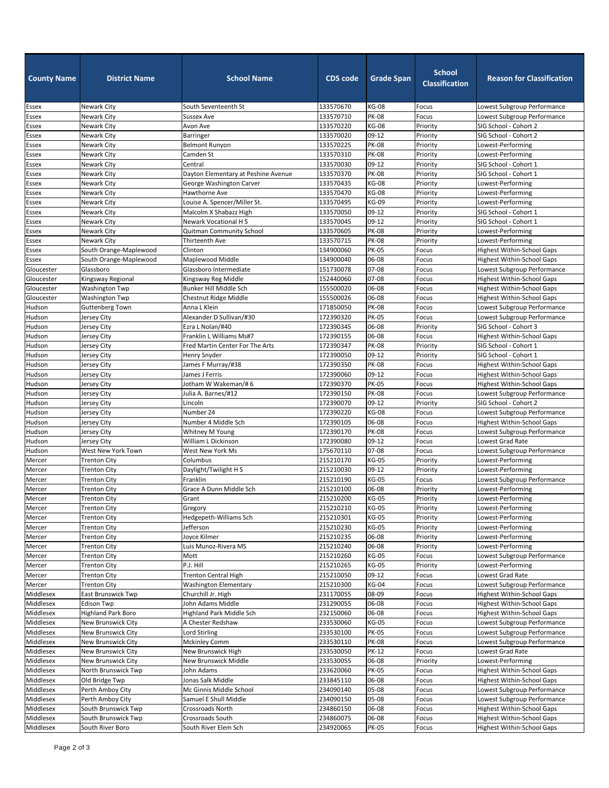| <b>School</b><br><b>School Name</b><br><b>CDS code</b><br><b>Grade Span</b><br><b>County Name</b><br><b>District Name</b><br><b>Classification</b> | <b>Reason for Classification</b>  |
|----------------------------------------------------------------------------------------------------------------------------------------------------|-----------------------------------|
| <b>KG-08</b><br>Newark City<br>133570670<br><b>Essex</b><br>South Seventeenth St<br>Focus                                                          | Lowest Subgroup Performance       |
| <b>PK-08</b><br>Newark City<br>133570710<br>Essex<br><b>Sussex Ave</b><br>Focus                                                                    | Lowest Subgroup Performance       |
| <b>KG-08</b><br>Newark City<br>Priority<br><b>Essex</b><br>Avon Ave<br>133570220                                                                   | SIG School - Cohort 2             |
| 09-12<br>Newark City<br>133570020<br>Priority<br>Essex<br>Barringer                                                                                | SIG School - Cohort 2             |
| <b>PK-08</b><br>Priority<br>Essex<br>Newark City<br><b>Belmont Runyon</b><br>133570225                                                             | Lowest-Performing                 |
| <b>PK-08</b><br>Essex<br>Newark City<br>Camden St<br>Priority<br>133570310                                                                         | Lowest-Performing                 |
| 09-12<br>Newark City<br>133570030<br>Priority<br>Essex<br>Central                                                                                  | SIG School - Cohort 1             |
| Essex<br><b>PK-08</b><br>Priority<br>Newark City<br>Dayton Elementary at Peshine Avenue<br>133570370                                               | SIG School - Cohort 1             |
| Essex<br><b>KG-08</b><br>Priority<br>Newark City<br>133570435<br>George Washington Carver                                                          | Lowest-Performing                 |
| <b>KG-08</b><br>Essex<br>Newark City<br><b>Hawthorne Ave</b><br>133570470<br>Priority                                                              | Lowest-Performing                 |
| <b>KG-09</b><br>Essex<br>Newark City<br>Louise A. Spencer/Miller St.<br>Priority<br>133570495                                                      | Lowest-Performing                 |
| Essex<br>09-12<br>Malcolm X Shabazz High<br>Priority<br>Newark City<br>133570050                                                                   | SIG School - Cohort 1             |
| <b>Newark Vocational HS</b><br>09-12<br>Priority<br>Essex<br>Newark City<br>133570045                                                              | SIG School - Cohort 1             |
| <b>PK-08</b><br>Essex<br>Newark City<br>Quitman Community School<br>133570605<br>Priority                                                          | Lowest-Performing                 |
| <b>PK-08</b><br>Essex<br>Newark City<br>Thirteenth Ave<br>133570715<br>Priority                                                                    | Lowest-Performing                 |
| Clinton<br><b>PK-05</b><br>Essex<br>South Orange-Maplewood<br>134900060<br>Focus                                                                   | Highest Within-School Gaps        |
| South Orange-Maplewood<br>06-08<br>Maplewood Middle<br>134900040<br>Essex<br>Focus                                                                 | <b>Highest Within-School Gaps</b> |
| 07-08<br>Gloucester<br>Glassboro<br>Glassboro Intermediate<br>151730078<br>Focus                                                                   | Lowest Subgroup Performance       |
| 07-08<br>152440060<br>Gloucester<br>Kingsway Regional<br>Kingsway Reg Middle<br>Focus                                                              | <b>Highest Within-School Gaps</b> |
| 06-08<br>Gloucester<br>Washington Twp<br>Bunker Hill Middle Sch<br>155500020<br>Focus                                                              | <b>Highest Within-School Gaps</b> |
| 06-08<br>Washington Twp<br>155500026<br>Gloucester<br>Chestnut Ridge Middle<br>Focus                                                               | <b>Highest Within-School Gaps</b> |
| <b>PK-08</b><br>Hudson<br>Anna L Klein<br>171850050<br><b>Guttenberg Town</b><br>Focus                                                             | Lowest Subgroup Performance       |
| Hudson<br><b>PK-05</b><br>Alexander D Sullivan/#30<br>172390320<br>Jersey City<br>Focus                                                            | Lowest Subgroup Performance       |
| Hudson<br>Ezra L Nolan/#40<br>06-08<br>Priority<br>172390345<br>Jersey City                                                                        | SIG School - Cohort 3             |
| Hudson<br>Franklin L Williams Ms#7<br>06-08<br>172390155<br>Jersey City<br>Focus                                                                   | <b>Highest Within-School Gaps</b> |
| <b>PK-08</b><br>Hudson<br>Fred Martin Center For The Arts<br>172390347<br>Priority<br>Jersey City                                                  | SIG School - Cohort 1             |
| Hudson<br>09-12<br><b>Henry Snyder</b><br>172390050<br>Priority<br>Jersey City                                                                     | SIG School - Cohort 1             |
| Hudson<br><b>PK-08</b><br>James F Murray/#38<br>172390350<br>Focus<br>Jersey City                                                                  | <b>Highest Within-School Gaps</b> |
| Hudson<br>172390060<br>09-12<br>James J Ferris<br>Focus<br>Jersey City                                                                             | Highest Within-School Gaps        |
| Hudson<br><b>PK-05</b><br>Jotham W Wakeman/#6<br>172390370<br>Focus<br>Jersey City                                                                 | <b>Highest Within-School Gaps</b> |
| Hudson<br>Julia A. Barnes/#12<br><b>PK-08</b><br>Jersey City<br>172390150<br>Focus                                                                 | Lowest Subgroup Performance       |
| Hudson<br>09-12<br>Priority<br>172390070<br>Jersey City<br>Lincoln                                                                                 | SIG School - Cohort 2             |
| Number 24<br><b>KG-08</b><br>Hudson<br>172390220<br>Jersey City<br>Focus                                                                           | Lowest Subgroup Performance       |
| Hudson<br>Number 4 Middle Sch<br>06-08<br>172390105<br>Focus<br>Jersey City                                                                        | <b>Highest Within-School Gaps</b> |
| <b>PK-08</b><br>Hudson<br>172390170<br>Focus<br>Jersey City<br>Whitney M Young                                                                     | Lowest Subgroup Performance       |
| Hudson<br>$09-12$<br>William L Dickinson<br>172390080<br>Focus<br>Jersey City                                                                      | Lowest Grad Rate                  |
| Hudson<br>07-08<br>West New York Town<br>West New York Ms<br>175670110<br>Focus                                                                    | Lowest Subgroup Performance       |
| <b>KG-05</b><br>Mercer<br>215210170<br>Priority<br><b>Trenton City</b><br>Columbus                                                                 | Lowest-Performing                 |
| Daylight/Twilight H S<br>09-12<br>Mercer<br><b>Trenton City</b><br>215210030<br>Priority                                                           | Lowest-Performing                 |
| <b>KG-05</b><br>Mercer<br>Franklin<br>215210190<br>Focus<br><b>Trenton City</b>                                                                    | Lowest Subgroup Performance       |
| Grace A Dunn Middle Sch<br>215210100<br>06-08<br>Mercer<br><b>Trenton City</b><br>Priority                                                         | Lowest-Performing                 |
| <b>KG-05</b><br>215210200<br>Priority<br>Mercer<br><b>Trenton City</b><br>Grant                                                                    | Lowest-Performing                 |
| <b>KG-05</b><br>Priority<br>Mercer<br><b>Trenton City</b><br>Gregory<br>215210210                                                                  | Lowest-Performing                 |
| Mercer<br>Hedgepeth-Williams Sch<br><b>KG-05</b><br>Priority<br>215210301<br><b>Trenton City</b>                                                   | Lowest-Performing                 |
| Jefferson<br>215210230<br><b>KG-05</b><br><b>Trenton City</b><br>Priority<br>Mercer                                                                | Lowest-Performing                 |
| 06-08<br>Joyce Kilmer<br>215210235<br>Priority<br>Mercer<br><b>Trenton City</b>                                                                    | Lowest-Performing                 |
| Luis Munoz-Rivera MS<br>06-08<br>Priority<br>Mercer<br><b>Trenton City</b><br>215210240                                                            | Lowest-Performing                 |
| <b>KG-05</b><br>Mott<br>215210260<br>Focus<br>Mercer<br><b>Trenton City</b>                                                                        | Lowest Subgroup Performance       |
| P.J. Hill<br><b>KG-05</b><br><b>Trenton City</b><br>215210265<br>Priority<br>Mercer                                                                | Lowest-Performing                 |
| $09-12$<br>Mercer<br><b>Trenton City</b><br><b>Trenton Central High</b><br>215210050<br>Focus                                                      | Lowest Grad Rate                  |
| <b>KG-04</b><br>Mercer<br><b>Trenton City</b><br><b>Washington Elementary</b><br>215210300<br>Focus                                                | Lowest Subgroup Performance       |
| Middlesex<br>08-09<br>East Brunswick Twp<br>Churchill Jr. High<br>231170055<br>Focus                                                               | <b>Highest Within-School Gaps</b> |
| Middlesex<br>John Adams Middle<br>06-08<br><b>Edison Twp</b><br>231290055<br>Focus                                                                 | <b>Highest Within-School Gaps</b> |
| 06-08<br>Middlesex<br><b>Highland Park Boro</b><br><b>Highland Park Middle Sch</b><br>232150060<br>Focus                                           | <b>Highest Within-School Gaps</b> |
| Middlesex<br>New Brunswick City<br>A Chester Redshaw<br><b>KG-05</b><br>233530060<br>Focus                                                         | Lowest Subgroup Performance       |
| Middlesex<br>New Brunswick City<br>Lord Stirling<br>233530100<br><b>PK-05</b><br>Focus                                                             | Lowest Subgroup Performance       |
| Middlesex<br><b>PK-08</b><br>New Brunswick City<br><b>Mckinley Comm</b><br>233530110<br>Focus                                                      | Lowest Subgroup Performance       |
| Middlesex<br>New Brunswick City<br>New Brunswick High<br><b>PK-12</b><br>233530050<br>Focus                                                        | Lowest Grad Rate                  |
| Middlesex<br>New Brunswick City<br>New Brunswick Middle<br>06-08<br>233530055<br>Priority                                                          | Lowest-Performing                 |
| Middlesex<br><b>PK-05</b><br>North Brunswick Twp<br>John Adams<br>233620060<br>Focus                                                               | <b>Highest Within-School Gaps</b> |
| Middlesex<br>06-08<br>Old Bridge Twp<br>Jonas Salk Middle<br>233845110<br>Focus                                                                    | <b>Highest Within-School Gaps</b> |
| Middlesex<br>Perth Amboy City<br>Mc Ginnis Middle School<br>234090140<br>05-08<br>Focus                                                            | Lowest Subgroup Performance       |
| 05-08<br>Middlesex<br>Perth Amboy City<br>Samuel E Shull Middle<br>234090150<br>Focus                                                              | Lowest Subgroup Performance       |
| Middlesex<br>South Brunswick Twp<br><b>Crossroads North</b><br>234860150<br>06-08<br>Focus                                                         | <b>Highest Within-School Gaps</b> |
| Middlesex<br>South Brunswick Twp<br>Crossroads South<br>06-08<br>234860075<br>Focus                                                                | <b>Highest Within-School Gaps</b> |
| South River Boro<br>South River Elem Sch<br>Middlesex<br>234920065<br><b>PK-05</b><br>Focus                                                        | <b>Highest Within-School Gaps</b> |